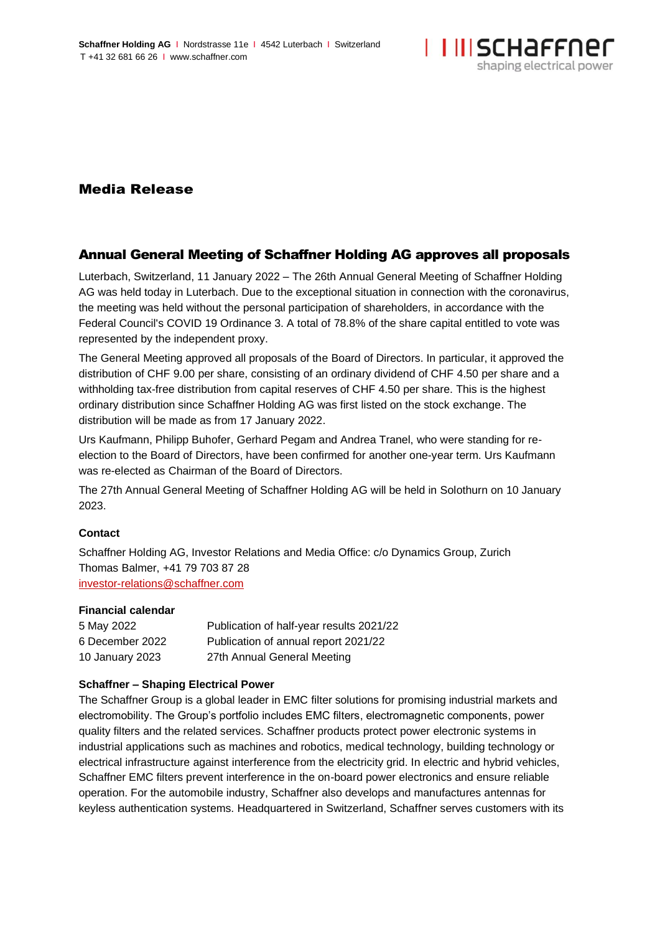

# Media Release

## Annual General Meeting of Schaffner Holding AG approves all proposals

Luterbach, Switzerland, 11 January 2022 – The 26th Annual General Meeting of Schaffner Holding AG was held today in Luterbach. Due to the exceptional situation in connection with the coronavirus, the meeting was held without the personal participation of shareholders, in accordance with the Federal Council's COVID 19 Ordinance 3. A total of 78.8% of the share capital entitled to vote was represented by the independent proxy.

The General Meeting approved all proposals of the Board of Directors. In particular, it approved the distribution of CHF 9.00 per share, consisting of an ordinary dividend of CHF 4.50 per share and a withholding tax-free distribution from capital reserves of CHF 4.50 per share. This is the highest ordinary distribution since Schaffner Holding AG was first listed on the stock exchange. The distribution will be made as from 17 January 2022.

Urs Kaufmann, Philipp Buhofer, Gerhard Pegam and Andrea Tranel, who were standing for reelection to the Board of Directors, have been confirmed for another one-year term. Urs Kaufmann was re-elected as Chairman of the Board of Directors.

The 27th Annual General Meeting of Schaffner Holding AG will be held in Solothurn on 10 January 2023.

#### **Contact**

Schaffner Holding AG, Investor Relations and Media Office: c/o Dynamics Group, Zurich Thomas Balmer, +41 79 703 87 28 [investor-relations@schaffner.com](mailto:investor-relations@schaffner.com)

#### **Financial calendar**

| 5 May 2022      | Publication of half-year results 2021/22 |
|-----------------|------------------------------------------|
| 6 December 2022 | Publication of annual report 2021/22     |
| 10 January 2023 | 27th Annual General Meeting              |

### **Schaffner – Shaping Electrical Power**

The Schaffner Group is a global leader in EMC filter solutions for promising industrial markets and electromobility. The Group's portfolio includes EMC filters, electromagnetic components, power quality filters and the related services. Schaffner products protect power electronic systems in industrial applications such as machines and robotics, medical technology, building technology or electrical infrastructure against interference from the electricity grid. In electric and hybrid vehicles, Schaffner EMC filters prevent interference in the on-board power electronics and ensure reliable operation. For the automobile industry, Schaffner also develops and manufactures antennas for keyless authentication systems. Headquartered in Switzerland, Schaffner serves customers with its